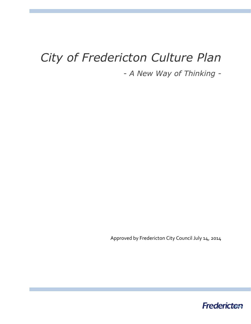# *City of Fredericton Culture Plan*

*- A New Way of Thinking -*

Approved by Fredericton City Council July 14, 2014

**Fredericten**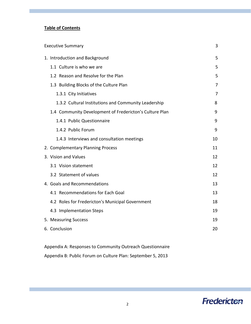# **Table of Contents**

| <b>Executive Summary</b> |                                                         | 3                 |
|--------------------------|---------------------------------------------------------|-------------------|
|                          | 1. Introduction and Background                          | 5                 |
|                          | 1.1 Culture is who we are                               | 5                 |
|                          | 1.2 Reason and Resolve for the Plan                     | 5                 |
|                          | 1.3 Building Blocks of the Culture Plan                 | 7                 |
|                          | 1.3.1 City Initiatives                                  | 7                 |
|                          | 1.3.2 Cultural Institutions and Community Leadership    | 8                 |
|                          | 1.4 Community Development of Fredericton's Culture Plan | 9                 |
|                          | 1.4.1 Public Questionnaire                              | 9                 |
|                          | 1.4.2 Public Forum                                      | 9                 |
|                          | 1.4.3 Interviews and consultation meetings              | 10                |
|                          | 2. Complementary Planning Process                       | 11                |
|                          | 3. Vision and Values                                    | 12                |
|                          | 3.1 Vision statement                                    | 12                |
|                          | 3.2 Statement of values                                 | $12 \overline{ }$ |
|                          | 4. Goals and Recommendations                            | 13                |
|                          | 4.1 Recommendations for Each Goal                       | 13                |
|                          | 4.2 Roles for Fredericton's Municipal Government        | 18                |
|                          | 4.3 Implementation Steps                                | 19                |
|                          | 5. Measuring Success                                    | 19                |
|                          | 6. Conclusion                                           | 20                |
|                          |                                                         |                   |

Appendix A: Responses to Community Outreach Questionnaire

Appendix B: Public Forum on Culture Plan: September 5, 2013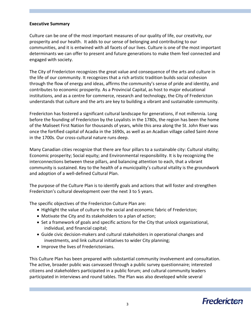#### **Executive Summary**

Culture can be one of the most important measures of our quality of life, our creativity, our prosperity and our health. It adds to our sense of belonging and contributing to our communities, and it is entwined with all facets of our lives. Culture is one of the most important determinants we can offer to present and future generations to make them feel connected and engaged with society.

The City of Fredericton recognizes the great value and consequence of the arts and culture in the life of our community. It recognizes that a rich artistic tradition builds social cohesion through the flow of energy and ideas, affirms the community's sense of pride and identity, and contributes to economic prosperity. As a Provincial Capital, as host to major educational institutions, and as a centre for commerce, research and technology, the City of Fredericton understands that culture and the arts are key to building a vibrant and sustainable community.

Fredericton has fostered a significant cultural landscape for generations, if not millennia. Long before the founding of Fredericton by the Loyalists in the 1780s, the region has been the home of the Maliseet First Nation for thousands of years, while this area along the St. John River was once the fortified capital of Acadia in the 1690s, as well as an Acadian village called Saint-Anne in the 1700s. Our cross-cultural nature runs deep.

Many Canadian cities recognize that there are four pillars to a sustainable city: Cultural vitality; Economic prosperity; Social equity; and Environmental responsibility. It is by recognizing the interconnections between these pillars, and balancing attention to each, that a vibrant community is sustained. Key to the health of a municipality's cultural vitality is the groundwork and adoption of a well-defined Cultural Plan.

The purpose of the Culture Plan is to identify goals and actions that will foster and strengthen Fredericton's cultural development over the next 3 to 5 years.

The specific objectives of the Fredericton Culture Plan are:

- Highlight the value of culture to the social and economic fabric of Fredericton;
- Motivate the City and its stakeholders to a plan of action;
- Set a framework of goals and specific actions for the City that unlock organizational, individual, and financial capital;
- Guide civic decision-makers and cultural stakeholders in operational changes and investments, and link cultural initiatives to wider City planning;
- Improve the lives of Frederictonians.

This Culture Plan has been prepared with substantial community involvement and consultation. The active, broader public was canvassed through a public survey questionnaire; interested citizens and stakeholders participated in a public forum; and cultural community leaders participated in interviews and round tables. The Plan was also developed while several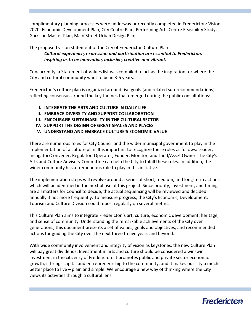complimentary planning processes were underway or recently completed in Fredericton: Vision 2020: Economic Development Plan, City Centre Plan, Performing Arts Centre Feasibility Study, Garrison Master Plan, Main Street Urban Design Plan.

The proposed vision statement of the City of Fredericton Culture Plan is: *Cultural experience, expression and participation are essential to Fredericton, inspiring us to be innovative, inclusive, creative and vibrant.*

Concurrently, a Statement of Values list was compiled to act as the inspiration for where the City and cultural community want to be in 3-5 years.

Fredericton's culture plan is organized around five goals (and related sub-recommendations), reflecting consensus around the key themes that emerged during the public consultations:

- **I. INTEGRATE THE ARTS AND CULTURE IN DAILY LIFE**
- **II. EMBRACE DIVERSITY AND SUPPORT COLLABORATION**
- **III. ENCOURAGE SUSTAINABILITY IN THE CULTURAL SECTOR**
- **IV. SUPPORT THE DESIGN OF GREAT SPACES AND PLACES**
- **V. UNDERSTAND AND EMBRACE CULTURE'S ECONOMIC VALUE**

There are numerous roles for City Council and the wider municipal government to play in the implementation of a culture plan. It is important to recognize these roles as follows: Leader, Instigator/Convener, Regulator, Operator, Funder, Monitor, and Land/Asset Owner. The City's Arts and Culture Advisory Committee can help the City to fulfill these roles. In addition, the wider community has a tremendous role to play in this initiative.

The implementation steps will revolve around a series of short, medium, and long-term actions, which will be identified in the next phase of this project. Since priority, investment, and timing are all matters for Council to decide, the actual sequencing will be reviewed and decided annually if not more frequently. To measure progress, the City's Economic, Development, Tourism and Culture Division could report regularly on several metrics.

This Culture Plan aims to integrate Fredericton's art, culture, economic development, heritage, and sense of community. Understanding the remarkable achievements of the City over generations, this document presents a set of values, goals and objectives, and recommended actions for guiding the City over the next three to five years and beyond.

With wide community involvement and integrity of vision as keystones, the new Culture Plan will pay great dividends. Investment in arts and culture should be considered a win-win investment in the citizenry of Fredericton: it promotes public and private sector economic growth, it brings capital and entrepreneurship to the community, and it makes our city a much better place to live – plain and simple. We encourage a new way of thinking where the City views its activities through a cultural lens.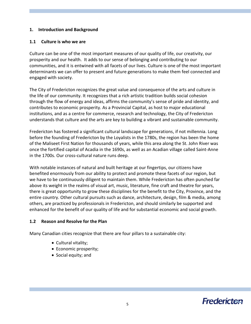### **1. Introduction and Background**

#### **1.1 Culture is who we are**

Culture can be one of the most important measures of our quality of life, our creativity, our prosperity and our health. It adds to our sense of belonging and contributing to our communities, and it is entwined with all facets of our lives. Culture is one of the most important determinants we can offer to present and future generations to make them feel connected and engaged with society.

The City of Fredericton recognizes the great value and consequence of the arts and culture in the life of our community. It recognizes that a rich artistic tradition builds social cohesion through the flow of energy and ideas, affirms the community's sense of pride and identity, and contributes to economic prosperity. As a Provincial Capital, as host to major educational institutions, and as a centre for commerce, research and technology, the City of Fredericton understands that culture and the arts are key to building a vibrant and sustainable community.

Fredericton has fostered a significant cultural landscape for generations, if not millennia. Long before the founding of Fredericton by the Loyalists in the 1780s, the region has been the home of the Maliseet First Nation for thousands of years, while this area along the St. John River was once the fortified capital of Acadia in the 1690s, as well as an Acadian village called Saint-Anne in the 1700s. Our cross-cultural nature runs deep.

With notable instances of natural and built heritage at our fingertips, our citizens have benefited enormously from our ability to protect and promote these facets of our region, but we have to be continuously diligent to maintain them. While Fredericton has often punched far above its weight in the realms of visual art, music, literature, fine craft and theatre for years, there is great opportunity to grow these disciplines for the benefit to the City, Province, and the entire country. Other cultural pursuits such as dance, architecture, design, film & media, among others, are practiced by professionals in Fredericton, and should similarly be supported and enhanced for the benefit of our quality of life and for substantial economic and social growth.

# **1.2 Reason and Resolve for the Plan**

Many Canadian cities recognize that there are four pillars to a sustainable city:

- Cultural vitality;
- Economic prosperity;
- Social equity; and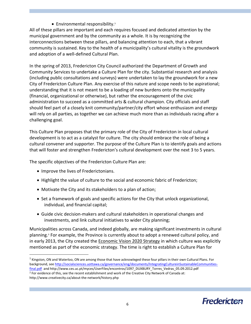$\bullet$  Environmental responsibility.<sup>1</sup>

All of these pillars are important and each requires focused and dedicated attention by the municipal government and by the community as a whole. It is by recognizing the interconnections between these pillars, and balancing attention to each, that a vibrant community is sustained. Key to the health of a municipality's cultural vitality is the groundwork and adoption of a well-defined Cultural Plan.

In the spring of 2013, Fredericton City Council authorized the Department of Growth and Community Services to undertake a Culture Plan for the city. Substantial research and analysis (including public consultations and surveys) were undertaken to lay the groundwork for a new City of Fredericton Culture Plan. Any exercise of this nature and scope needs to be aspirational; understanding that it is not meant to be a loading of new burdens onto the municipality (financial, organizational or otherwise), but rather the encouragement of the civic administration to succeed as a committed arts & cultural champion. City officials and staff should feel part of a closely knit community/partner/city effort whose enthusiasm and energy will rely on all parties, as together we can achieve much more than as individuals racing after a challenging goal.

This Culture Plan proposes that the primary role of the City of Fredericton in local cultural development is to act as a catalyst for culture. The city should embrace the role of being a cultural convener and supporter. The purpose of the Culture Plan is to identify goals and actions that will foster and strengthen Fredericton's cultural development over the next 3 to 5 years.

The specific objectives of the Fredericton Culture Plan are:

- Improve the lives of Frederictonians.
- Highlight the value of culture to the social and economic fabric of Fredericton;
- Motivate the City and its stakeholders to a plan of action;
- Set a framework of goals and specific actions for the City that unlock organizational, individual, and financial capital;
- Guide civic decision-makers and cultural stakeholders in operational changes and investments, and link cultural initiatives to wider City planning;

Municipalities across Canada, and indeed globally, are making significant investments in cultural planning.<sup>2</sup> For example, the Province is currently about to adopt a renewed cultural policy, and in early 2013, the City created the Economic Vision 2020 Strategy in which culture was explicitly mentioned as part of the economic strategy. The time is right to establish a Culture Plan for

http://www.creativecity.ca/about-the-network/history.php

 $\overline{a}$ 

 $1$  Kingston, ON and Waterloo, ON are among those that have acknowleged these four pillars in their own Cultural Plans. For background, see [http://socialsciences.uottawa.ca/governance/eng/documents/IntegratingCultureinSustainableCommunities](http://socialsciences.uottawa.ca/governance/eng/documents/IntegratingCultureinSustainableCommunities-final.pdf)[final.pdf](http://socialsciences.uottawa.ca/governance/eng/documents/IntegratingCultureinSustainableCommunities-final.pdf) and http://www.ces.uc.pt/myces/UserFiles/encontros/1097\_DUXBURY\_Torres\_Vedras\_05.09.2012.pdf <sup>2</sup> For evidence of this, see the recent establishment and work of the Creative City Network of Canada at: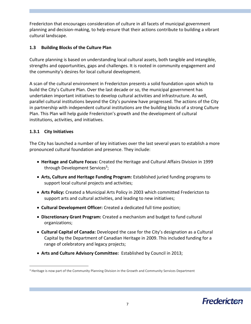Fredericton that encourages consideration of culture in all facets of municipal government planning and decision-making, to help ensure that their actions contribute to building a vibrant cultural landscape.

# **1.3 Building Blocks of the Culture Plan**

Culture planning is based on understanding local cultural assets, both tangible and intangible, strengths and opportunities, gaps and challenges. It is rooted in community engagement and the community's desires for local cultural development.

A scan of the cultural environment in Fredericton presents a solid foundation upon which to build the City's Culture Plan. Over the last decade or so, the municipal government has undertaken important initiatives to develop cultural activities and infrastructure. As well, parallel cultural institutions beyond the City's purview have progressed. The actions of the City in partnership with independent cultural institutions are the building blocks of a strong Culture Plan. This Plan will help guide Fredericton's growth and the development of cultural institutions, activities, and initiatives.

# **1.3.1 City Initiatives**

 $\overline{a}$ 

The City has launched a number of key initiatives over the last several years to establish a more pronounced cultural foundation and presence. They include:

- **Heritage and Culture Focus:** Created the Heritage and Cultural Affairs Division in 1999 through Development Services<sup>3</sup>;
- **Arts, Culture and Heritage Funding Program:** Established juried funding programs to support local cultural projects and activities;
- **Arts Policy:** Created a Municipal Arts Policy in 2003 which committed Fredericton to support arts and cultural activities, and leading to new initiatives;
- **Cultural Development Officer:** Created a dedicated full time position;
- **Discretionary Grant Program:** Created a mechanism and budget to fund cultural organizations;
- **Cultural Capital of Canada:** Developed the case for the City's designation as a Cultural Capital by the Department of Canadian Heritage in 2009. This included funding for a range of celebratory and legacy projects;
- **Arts and Culture Advisory Committee:** Established by Council in 2013;

<sup>&</sup>lt;sup>3</sup> Heritage is now part of the Community Planning Division in the Growth and Community Services Department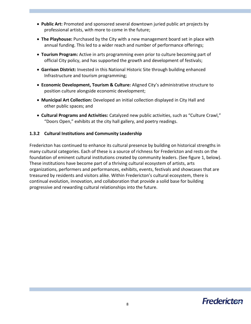- **Public Art:** Promoted and sponsored several downtown juried public art projects by professional artists, with more to come in the future;
- **The Playhouse:** Purchased by the City with a new management board set in place with annual funding. This led to a wider reach and number of performance offerings;
- **Tourism Program:** Active in arts programming even prior to culture becoming part of official City policy, and has supported the growth and development of festivals;
- **Garrison District:** Invested in this National Historic Site through building enhanced Infrastructure and tourism programming;
- **Economic Development, Tourism & Culture:** Aligned City's administrative structure to position culture alongside economic development;
- **Municipal Art Collection:** Developed an initial collection displayed in City Hall and other public spaces; and
- **Cultural Programs and Activities:** Catalyzed new public activities, such as "Culture Crawl," "Doors Open," exhibits at the city hall gallery, and poetry readings.

# **1.3.2 Cultural Institutions and Community Leadership**

Fredericton has continued to enhance its cultural presence by building on historical strengths in many cultural categories. Each of these is a source of richness for Fredericton and rests on the foundation of eminent cultural institutions created by community leaders. (See figure 1, below). These institutions have become part of a thriving cultural ecosystem of artists, arts organizations, performers and performances, exhibits, events, festivals and showcases that are treasured by residents and visitors alike. Within Fredericton's cultural ecosystem, there is continual evolution, innovation, and collaboration that provide a solid base for building progressive and rewarding cultural relationships into the future.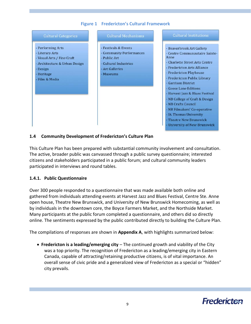# **Figure 1 Fredericton's Cultural Framework**



#### **1.4 Community Development of Fredericton's Culture Plan**

This Culture Plan has been prepared with substantial community involvement and consultation. The active, broader public was canvassed through a public survey questionnaire; interested citizens and stakeholders participated in a public forum; and cultural community leaders participated in interviews and round tables.

#### **1.4.1. Public Questionnaire**

Over 300 people responded to a questionnaire that was made available both online and gathered from individuals attending events at Harvest Jazz and Blues Festival, Centre Ste. Anne open house, Theatre New Brunswick, and University of New Brunswick Homecoming, as well as by individuals in the downtown core, the Boyce Farmers Market, and the Northside Market. Many participants at the public forum completed a questionnaire, and others did so directly online. The sentiments expressed by the public contributed directly to building the Culture Plan.

The compilations of responses are shown in **Appendix A**, with highlights summarized below:

 **Fredericton is a leading/emerging city** – The continued growth and viability of the City was a top priority. The recognition of Fredericton as a leading/emerging city in Eastern Canada, capable of attracting/retaining productive citizens, is of vital importance. An overall sense of civic pride and a generalized view of Fredericton as a special or "hidden" city prevails.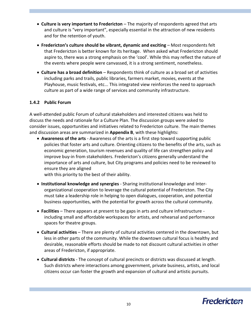- **Culture is very important to Fredericton** The majority of respondents agreed that arts and culture is "very important", especially essential in the attraction of new residents and for the retention of youth.
- **Fredericton's culture should be vibrant, dynamic and exciting** Most respondents felt that Fredericton is better known for its heritage. When asked what Fredericton should aspire to, there was a strong emphasis on the 'cool'. While this may reflect the nature of the events where people were canvassed, it is a strong sentiment, nonetheless.
- **Culture has a broad definition** Respondents think of culture as a broad set of activities including parks and trails, public libraries, farmers market, movies, events at the Playhouse, music festivals, etc... This integrated view reinforces the need to approach culture as part of a wide range of services and community infrastructure.

# **1.4.2 Public Forum**

A well-attended public Forum of cultural stakeholders and interested citizens was held to discuss the needs and rationale for a Culture Plan. The discussion groups were asked to consider issues, opportunities and initiatives related to Fredericton culture. The main themes and discussion areas are summarized in **Appendix B**, with these highlights:

 **Awareness of the arts** - Awareness of the arts is a first step toward supporting public policies that foster arts and culture. Orienting citizens to the benefits of the arts, such as economic generation, tourism revenues and quality of life can strengthen policy and improve buy-in from stakeholders. Fredericton's citizens generally understand the importance of arts and culture, but City programs and policies need to be reviewed to ensure they are aligned

with this priority to the best of their ability.

- **Institutional knowledge and synergies** Sharing institutional knowledge and Interorganizational cooperation to leverage the cultural potential of Fredericton. The City must take a leadership role in helping to open dialogues, cooperation, and potential business opportunities, with the potential for growth across the cultural community.
- **Facilities**  There appears at present to be gaps in arts and culture infrastructure including small and affordable workspaces for artists, and rehearsal and performance spaces for theatre groups.
- **Cultural activities** There are plenty of cultural activities centered in the downtown, but less in other parts of the community. While the downtown cultural focus is healthy and desirable, reasonable efforts should be made to not discount cultural activities in other areas of Fredericton, if appropriate.
- **Cultural districts** The concept of cultural precincts or districts was discussed at length. Such districts where interactions among government, private business, artists, and local citizens occur can foster the growth and expansion of cultural and artistic pursuits.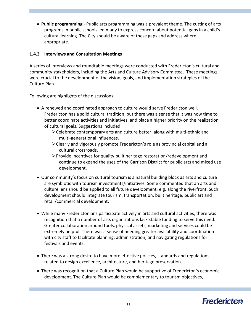**Public programming** - Public arts programming was a prevalent theme. The cutting of arts programs in public schools led many to express concern about potential gaps in a child's cultural learning. The City should be aware of these gaps and address where appropriate.

# **1.4.3 Interviews and Consultation Meetings**

A series of interviews and roundtable meetings were conducted with Fredericton's cultural and community stakeholders, including the Arts and Culture Advisory Committee. These meetings were crucial to the development of the vision, goals, and implementation strategies of the Culture Plan.

Following are highlights of the discussions:

- A renewed and coordinated approach to culture would serve Fredericton well. Fredericton has a solid cultural tradition, but there was a sense that it was now time to better coordinate activities and initiatives, and place a higher priority on the realization of cultural goals. Suggestions included:
	- $\geq$  Celebrate contemporary arts and culture better, along with multi-ethnic and multi-generational influences.
	- $\triangleright$  Clearly and vigorously promote Fredericton's role as provincial capital and a cultural crossroads.
	- $\triangleright$  Provide incentives for quality built heritage restoration/redevelopment and continue to expand the uses of the Garrison District for public arts and mixed use development.
- Our community's focus on cultural tourism is a natural building block as arts and culture are symbiotic with tourism investments/initiatives. Some commented that an arts and culture lens should be applied to all future development, e.g. along the riverfront. Such development should integrate tourism, transportation, built heritage, public art and retail/commercial development.
- While many Frederictonians participate actively in arts and cultural activities, there was recognition that a number of arts organizations lack stable funding to serve this need. Greater collaboration around tools, physical assets, marketing and services could be extremely helpful. There was a sense of needing greater availability and coordination with city staff to facilitate planning, administration, and navigating regulations for festivals and events.
- There was a strong desire to have more effective policies, standards and regulations related to design excellence, architecture, and heritage preservation.
- There was recognition that a Culture Plan would be supportive of Fredericton's economic development. The Culture Plan would be complementary to tourism objectives,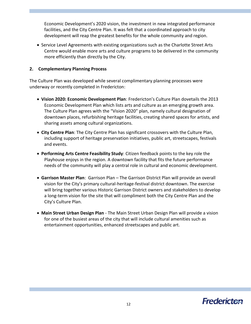Economic Development's 2020 vision, the investment in new integrated performance facilities, and the City Centre Plan. It was felt that a coordinated approach to city development will reap the greatest benefits for the whole community and region.

• Service Level Agreements with existing organizations such as the Charlotte Street Arts Centre would enable more arts and culture programs to be delivered in the community more efficiently than directly by the City.

# **2. Complementary Planning Process**

The Culture Plan was developed while several complimentary planning processes were underway or recently completed in Fredericton:

- **Vision 2020: Economic Development Plan**: Fredericton's Culture Plan dovetails the 2013 Economic Development Plan which lists arts and culture as an emerging growth area. The Culture Plan agrees with the "Vision 2020" plan, namely cultural designation of downtown places, refurbishing heritage facilities, creating shared spaces for artists, and sharing assets among cultural organizations.
- **City Centre Plan**: The City Centre Plan has significant crossovers with the Culture Plan, including support of heritage preservation initiatives, public art, streetscapes, festivals and events.
- **Performing Arts Centre Feasibility Study**: Citizen feedback points to the key role the Playhouse enjoys in the region. A downtown facility that fits the future performance needs of the community will play a central role in cultural and economic development.
- **Garrison Master Plan**: Garrison Plan The Garrison District Plan will provide an overall vision for the City's primary cultural-heritage-festival district downtown. The exercise will bring together various Historic Garrison District owners and stakeholders to develop a long-term vision for the site that will compliment both the City Centre Plan and the City's Culture Plan.
- **Main Street Urban Design Plan** The Main Street Urban Design Plan will provide a vision for one of the busiest areas of the city that will include cultural amenities such as entertainment opportunities, enhanced streetscapes and public art.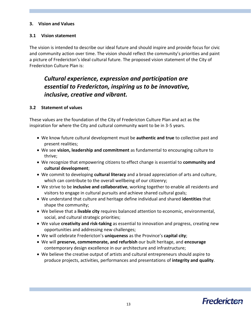# **3. Vision and Values**

### **3.1 Vision statement**

The vision is intended to describe our ideal future and should inspire and provide focus for civic and community action over time. The vision should reflect the community's priorities and paint a picture of Fredericton's ideal cultural future. The proposed vision statement of the City of Fredericton Culture Plan is:

# *Cultural experience, expression and participation are essential to Fredericton, inspiring us to be innovative, inclusive, creative and vibrant.*

#### **3.2 Statement of values**

These values are the foundation of the City of Fredericton Culture Plan and act as the inspiration for where the City and cultural community want to be in 3-5 years.

- We know future cultural development must be **authentic and true** to collective past and present realities;
- We see **vision, leadership and commitment** as fundamental to encouraging culture to thrive;
- We recognize that empowering citizens to effect change is essential to **community and cultural development**;
- We commit to developing **cultural literacy** and a broad appreciation of arts and culture, which can contribute to the overall wellbeing of our citizenry;
- We strive to be **inclusive and collaborative**, working together to enable all residents and visitors to engage in cultural pursuits and achieve shared cultural goals;
- We understand that culture and heritage define individual and shared **identities** that shape the community;
- We believe that a **livable city** requires balanced attention to economic, environmental, social, and cultural strategic priorities;
- We value **creativity and risk-taking** as essential to innovation and progress, creating new opportunities and addressing new challenges;
- We will celebrate Fredericton's **uniqueness** as the Province's **capital city**;
- We will **preserve, commemorate, and refurbish** our built heritage, and **encourage** contemporary design excellence in our architecture and infrastructure;
- We believe the creative output of artists and cultural entrepreneurs should aspire to produce projects, activities, performances and presentations of **integrity and quality**.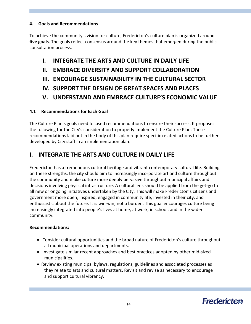# **4. Goals and Recommendations**

To achieve the community's vision for culture, Fredericton's culture plan is organized around **five goals**. The goals reflect consensus around the key themes that emerged during the public consultation process.

# **I. INTEGRATE THE ARTS AND CULTURE IN DAILY LIFE**

- **II. EMBRACE DIVERSITY AND SUPPORT COLLABORATION**
- **III. ENCOURAGE SUSTAINABILITY IN THE CULTURAL SECTOR**
- **IV. SUPPORT THE DESIGN OF GREAT SPACES AND PLACES**
- **V. UNDERSTAND AND EMBRACE CULTURE'S ECONOMIC VALUE**

# **4.1 Recommendations for Each Goal**

The Culture Plan's goals need focused recommendations to ensure their success. It proposes the following for the City's consideration to properly implement the Culture Plan. These recommendations laid out in the body of this plan require specific related actions to be further developed by City staff in an implementation plan.

# **I. INTEGRATE THE ARTS AND CULTURE IN DAILY LIFE**

Fredericton has a tremendous cultural heritage and vibrant contemporary cultural life. Building on these strengths, the city should aim to increasingly incorporate art and culture throughout the community and make culture more deeply pervasive throughout municipal affairs and decisions involving physical infrastructure. A cultural lens should be applied from the get-go to all new or ongoing initiatives undertaken by the City. This will make Fredericton's citizens and government more open, inspired, engaged in community life, invested in their city, and enthusiastic about the future. It is win-win; not a burden. This goal encourages culture being increasingly integrated into people's lives at home, at work, in school, and in the wider community.

# **Recommendations:**

- Consider cultural opportunities and the broad nature of Fredericton's culture throughout all municipal operations and departments.
- Investigate similar recent approaches and best practices adopted by other mid-sized municipalities.
- Review existing municipal bylaws, regulations, guidelines and associated processes as they relate to arts and cultural matters. Revisit and revise as necessary to encourage and support cultural vibrancy.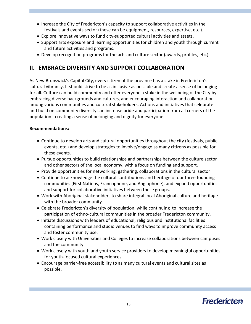- Increase the City of Fredericton's capacity to support collaborative activities in the festivals and events sector (these can be equipment, resources, expertise, etc.).
- Explore innovative ways to fund city-supported cultural activities and assets.
- Support arts exposure and learning opportunities for children and youth through current and future activities and programs.
- Develop recognition programs for the arts and culture sector (awards, profiles, etc.)

# **II. EMBRACE DIVERSITY AND SUPPORT COLLABORATION**

As New Brunswick's Capital City, every citizen of the province has a stake in Fredericton's cultural vibrancy. It should strive to be as inclusive as possible and create a sense of belonging for all. Culture can build community and offer everyone a stake in the wellbeing of the City by embracing diverse backgrounds and cultures, and encouraging interaction and collaboration among various communities and cultural stakeholders. Actions and initiatives that celebrate and build on community diversity can increase pride and participation from all corners of the population - creating a sense of belonging and dignity for everyone.

# **Recommendations:**

- Continue to develop arts and cultural opportunities throughout the city (festivals, public events, etc.) and develop strategies to involve/engage as many citizens as possible for these events.
- Pursue opportunities to build relationships and partnerships between the culture sector and other sectors of the local economy, with a focus on funding and support.
- Provide opportunities for networking, gathering, collaborations in the cultural sector
- Continue to acknowledge the cultural contributions and heritage of our three founding communities (First Nations, Francophone, and Anglophone), and expand opportunities and support for collaborative initiatives between these groups.
- Work with Aboriginal stakeholders to share integral local Aboriginal culture and heritage with the broader community.
- Celebrate Fredericton's diversity of population, while continuing to increase the participation of ethno-cultural communities in the broader Fredericton community.
- Initiate discussions with leaders of educational, religious and institutional facilities containing performance and studio venues to find ways to improve community access and foster community use.
- Work closely with Universities and Colleges to increase collaborations between campuses and the community.
- Work closely with youth and youth service providers to develop meaningful opportunities for youth-focused cultural experiences.
- Encourage barrier-free accessibility to as many cultural events and cultural sites as possible.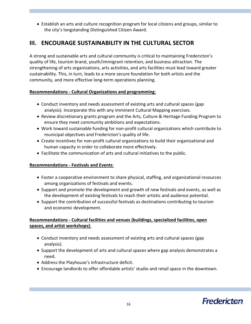Establish an arts and culture recognition program for local citizens and groups, similar to the city's longstanding Distinguished Citizen Award.

# **III. ENCOURAGE SUSTAINABILITY IN THE CULTURAL SECTOR**

A strong and sustainable arts and cultural community is critical to maintaining Fredericton's quality of life, tourism brand, youth/immigrant retention, and business attraction. The strengthening of arts organizations, arts activities, and arts facilities must lead toward greater sustainability. This, in turn, leads to a more secure foundation for both artists and the community, and more effective long-term operations planning.

# **Recommendations - Cultural Organizations and programming**:

- Conduct inventory and needs assessment of existing arts and cultural spaces (gap analysis). Incorporate this with any imminent Cultural Mapping exercises.
- Review discretionary grants program and the Arts, Culture & Heritage Funding Program to ensure they meet community ambitions and expectations.
- Work toward sustainable funding for non-profit cultural organizations which contribute to municipal objectives and Fredericton's quality of life.
- Create incentives for non-profit cultural organizations to build their organizational and human capacity in order to collaborate more effectively.
- Facilitate the communication of arts and cultural initiatives to the public.

# **Recommendations - Festivals and Events**:

- Foster a cooperative environment to share physical, staffing, and organizational resources among organizations of festivals and events.
- Support and promote the development and growth of new festivals and events, as well as the development of existing festivals to reach their artistic and audience potential.
- Support the contribution of successful festivals as destinations contributing to tourism and economic development.

# **Recommendations - Cultural facilities and venues (buildings, specialized facilities, open spaces, and artist workshops)**:

- Conduct inventory and needs assessment of existing arts and cultural spaces (gap analysis).
- Support the development of arts and cultural spaces where gap analysis demonstrates a need.
- Address the Playhouse's infrastructure deficit.
- Encourage landlords to offer affordable artists' studio and retail space in the downtown.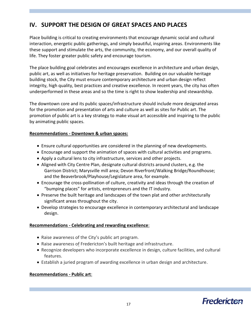# **IV. SUPPORT THE DESIGN OF GREAT SPACES AND PLACES**

Place building is critical to creating environments that encourage dynamic social and cultural interaction, energetic public gatherings, and simply beautiful, inspiring areas. Environments like these support and stimulate the arts, the community, the economy, and our overall quality of life. They foster greater public safety and encourage tourism.

The place building goal celebrates and encourages excellence in architecture and urban design, public art, as well as initiatives for heritage preservation. Building on our valuable heritage building stock, the City must ensure contemporary architecture and urban design reflect integrity, high quality, best practices and creative excellence. In recent years, the city has often underperformed in these areas and so the time is right to show leadership and stewardship.

The downtown core and its public spaces/infrastructure should include more designated areas for the promotion and presentation of arts and culture as well as sites for Public art. The promotion of public art is a key strategy to make visual art accessible and inspiring to the public by animating public spaces.

# **Recommendations - Downtown & urban spaces:**

- Ensure cultural opportunities are considered in the planning of new developments.
- Encourage and support the animation of spaces with cultural activities and programs.
- Apply a cultural lens to city infrastructure, services and other projects.
- Aligned with City Centre Plan, designate cultural districts around clusters, e.g. the Garrison District; Marysville mill area; Devon Riverfront/Walking Bridge/Roundhouse; and the Beaverbrook/Playhouse/Legislature area, for example.
- Encourage the cross-pollination of culture, creativity and ideas through the creation of "bumping places" for artists, entrepreneurs and the IT industry.
- Preserve the built heritage and landscapes of the town plat and other architecturally significant areas throughout the city.
- Develop strategies to encourage excellence in contemporary architectural and landscape design.

# **Recommendations - Celebrating and rewarding excellence**:

- Raise awareness of the City's public art program.
- Raise awareness of Fredericton's built heritage and infrastructure.
- Recognize developers who incorporate excellence in design, culture facilities, and cultural features.
- Establish a juried program of awarding excellence in urban design and architecture.

# **Recommendations - Public art**: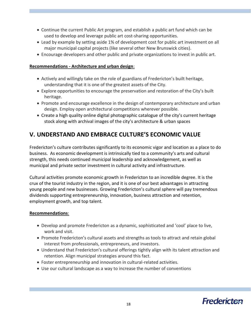- Continue the current Public Art program, and establish a public art fund which can be used to develop and leverage public art cost-sharing opportunities.
- Lead by example by setting aside 1% of development cost for public art investment on all major municipal capital projects (like several other New Brunswick cities).
- Encourage developers and other public and private organizations to invest in public art.

# **Recommendations - Architecture and urban design**:

- Actively and willingly take on the role of guardians of Fredericton's built heritage, understanding that it is one of the greatest assets of the City.
- Explore opportunities to encourage the preservation and restoration of the City's built heritage.
- Promote and encourage excellence in the design of contemporary architecture and urban design. Employ open architectural competitions wherever possible.
- Create a high quality online digital photographic catalogue of the city's current heritage stock along with archival images of the city's architecture & urban spaces

# **V. UNDERSTAND AND EMBRACE CULTURE'S ECONOMIC VALUE**

Fredericton's culture contributes significantly to its economic vigor and location as a place to do business. As economic development is intrinsically tied to a community's arts and cultural strength, this needs continued municipal leadership and acknowledgement, as well as municipal and private sector investment in cultural activity and infrastructure.

Cultural activities promote economic growth in Fredericton to an incredible degree. It is the crux of the tourist industry in the region, and it is one of our best advantages in attracting young people and new businesses. Growing Fredericton's cultural sphere will pay tremendous dividends supporting entrepreneurship, innovation, business attraction and retention, employment growth, and top talent.

#### **Recommendations**:

- Develop and promote Fredericton as a dynamic, sophisticated and 'cool' place to live, work and visit.
- Promote Fredericton's cultural assets and strengths as tools to attract and retain global interest from professionals, entrepreneurs, and investors.
- Understand that Fredericton's cultural offerings tightly align with its talent attraction and retention. Align municipal strategies around this fact.
- Foster entrepreneurship and innovation in cultural-related activities.
- Use our cultural landscape as a way to increase the number of conventions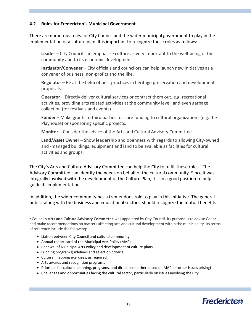# **4.2 Roles for Fredericton's Municipal Government**

There are numerous roles for City Council and the wider municipal government to play in the implementation of a culture plan. It is important to recognize these roles as follows:

**Leader** – City Council can emphasize culture as very important to the well-being of the community and to its economic development

**Instigator/Convener** – City officials and councilors can help launch new initiatives as a convener of business, non-profits and the like.

**Regulator** – Be at the helm of best practices in heritage preservation and development proposals.

**Operator** – Directly deliver cultural services or contract them out. e.g. recreational activities, providing arts related activities at the community level, and even garbage collection (for festivals and events).

**Funder** – Make grants to third parties for core funding to cultural organizations (e.g. the Playhouse) or sponsoring specific projects.

**Monitor** – Consider the advice of the Arts and Cultural Advisory Committee.

**Land/Asset Owner** – Show leadership and openness with regards to allowing City-owned and -managed buildings, equipment and land to be available as facilities for cultural activities and groups.

The City's Arts and Culture Advisory Committee can help the City to fulfill these roles.<sup>4</sup> The Advisory Committee can identify the needs on behalf of the cultural community. Since it was integrally involved with the development of the Culture Plan, it is in a good position to help guide its implementation.

In addition, the wider community has a tremendous role to play in this initiative. The general public, along with the business and educational sectors, should recognize the mutual benefits

- Liaison between City Council and cultural community
- Annual report card of the Municipal Arts Policy (MAP)
- Renewal of Municipal Arts Policy and development of culture plans
- Funding program guidelines and selection criteria
- Cultural mapping exercises, as required

 $\overline{a}$ 

- Arts awards and recognition programs
- Priorities for cultural planning, programs, and directions (either based on MAP, or other issues arising)
- Challenges and opportunities facing the cultural sector, particularly on issues involving the City

<sup>4</sup> Council's **Arts and Culture Advisory Committee** was appointed by City Council. Its purpose is to advise Council and make recommendations on matters affecting arts and cultural development within the municipality. Its terms of reference include the following: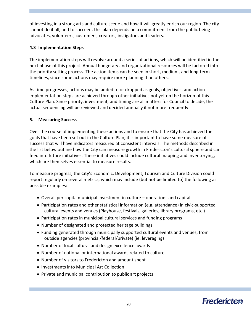of investing in a strong arts and culture scene and how it will greatly enrich our region. The city cannot do it all, and to succeed, this plan depends on a commitment from the public being advocates, volunteers, customers, creators, instigators and leaders.

# **4.3 Implementation Steps**

The implementation steps will revolve around a series of actions, which will be identified in the next phase of this project. Annual budgetary and organizational resources will be factored into the priority setting process. The action items can be seen in short, medium, and long-term timelines, since some actions may require more planning than others.

As time progresses, actions may be added to or dropped as goals, objectives, and action implementation steps are achieved through other initiatives not yet on the horizon of this Culture Plan. Since priority, investment, and timing are all matters for Council to decide, the actual sequencing will be reviewed and decided annually if not more frequently.

# **5. Measuring Success**

Over the course of implementing these actions and to ensure that the City has achieved the goals that have been set out in the Culture Plan, it is important to have some measure of success that will have indicators measured at consistent intervals. The methods described in the list below outline how the City can measure growth in Fredericton's cultural sphere and can feed into future initiatives. These initiatives could include cultural mapping and inventorying, which are themselves essential to measure results.

To measure progress, the City's Economic, Development, Tourism and Culture Division could report regularly on several metrics, which may include (but not be limited to) the following as possible examples:

- Overall per capita municipal investment in culture operations and capital
- Participation rates and other statistical information (e.g. attendance) in civic-supported cultural events and venues (Playhouse, festivals, galleries, library programs, etc.)
- Participation rates in municipal cultural services and funding programs
- Number of designated and protected heritage buildings
- Funding generated through municipally supported cultural events and venues, from outside agencies (provincial/federal/private) (ie. leveraging)
- Number of local cultural and design excellence awards
- Number of national or international awards related to culture
- Number of visitors to Fredericton and amount spent
- Investments into Municipal Art Collection
- Private and municipal contribution to public art projects